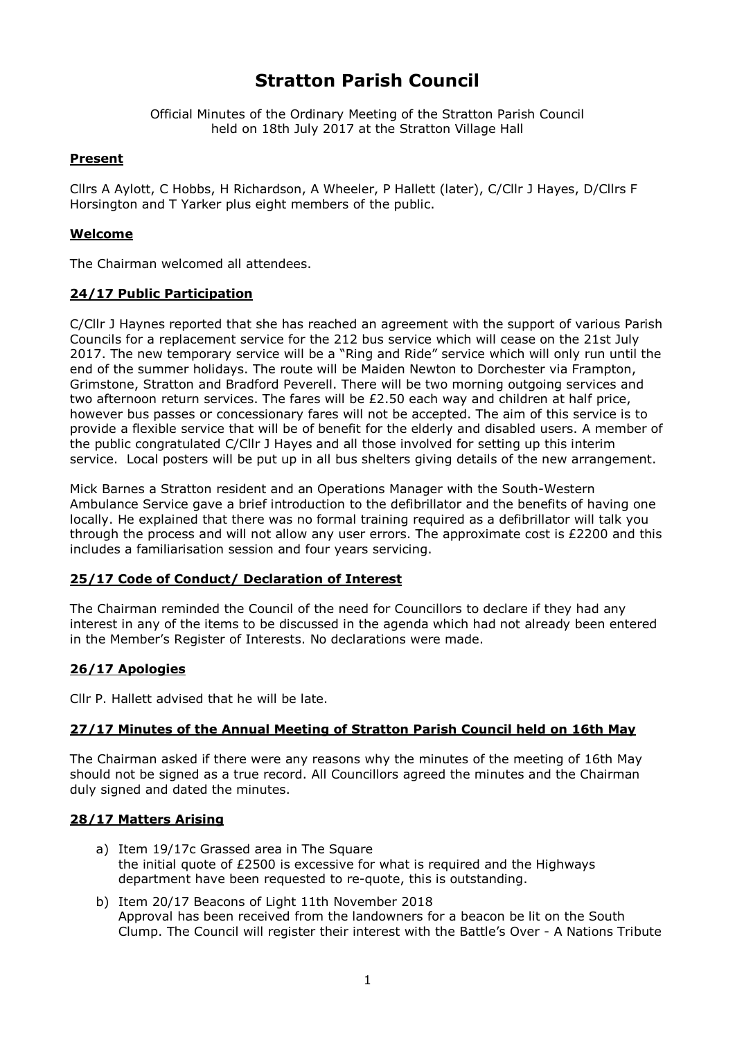# **Stratton Parish Council**

Official Minutes of the Ordinary Meeting of the Stratton Parish Council held on 18th July 2017 at the Stratton Village Hall

## **Present**

Cllrs A Aylott, C Hobbs, H Richardson, A Wheeler, P Hallett (later), C/Cllr J Hayes, D/Cllrs F Horsington and T Yarker plus eight members of the public.

## **Welcome**

The Chairman welcomed all attendees.

## **24/17 Public Participation**

C/Cllr J Haynes reported that she has reached an agreement with the support of various Parish Councils for a replacement service for the 212 bus service which will cease on the 21st July 2017. The new temporary service will be a "Ring and Ride" service which will only run until the end of the summer holidays. The route will be Maiden Newton to Dorchester via Frampton, Grimstone, Stratton and Bradford Peverell. There will be two morning outgoing services and two afternoon return services. The fares will be £2.50 each way and children at half price, however bus passes or concessionary fares will not be accepted. The aim of this service is to provide a flexible service that will be of benefit for the elderly and disabled users. A member of the public congratulated C/Cllr J Hayes and all those involved for setting up this interim service. Local posters will be put up in all bus shelters giving details of the new arrangement.

Mick Barnes a Stratton resident and an Operations Manager with the South-Western Ambulance Service gave a brief introduction to the defibrillator and the benefits of having one locally. He explained that there was no formal training required as a defibrillator will talk you through the process and will not allow any user errors. The approximate cost is  $£2200$  and this includes a familiarisation session and four years servicing.

## **25/17 Code of Conduct/ Declaration of Interest**

The Chairman reminded the Council of the need for Councillors to declare if they had any interest in any of the items to be discussed in the agenda which had not already been entered in the Member's Register of Interests. No declarations were made.

## **26/17 Apologies**

Cllr P. Hallett advised that he will be late.

## **27/17 Minutes of the Annual Meeting of Stratton Parish Council held on 16th May**

The Chairman asked if there were any reasons why the minutes of the meeting of 16th May should not be signed as a true record. All Councillors agreed the minutes and the Chairman duly signed and dated the minutes.

## **28/17 Matters Arising**

- a) Item 19/17c Grassed area in The Square the initial quote of £2500 is excessive for what is required and the Highways department have been requested to re-quote, this is outstanding.
- b) Item 20/17 Beacons of Light 11th November 2018 Approval has been received from the landowners for a beacon be lit on the South Clump. The Council will register their interest with the Battle's Over - A Nations Tribute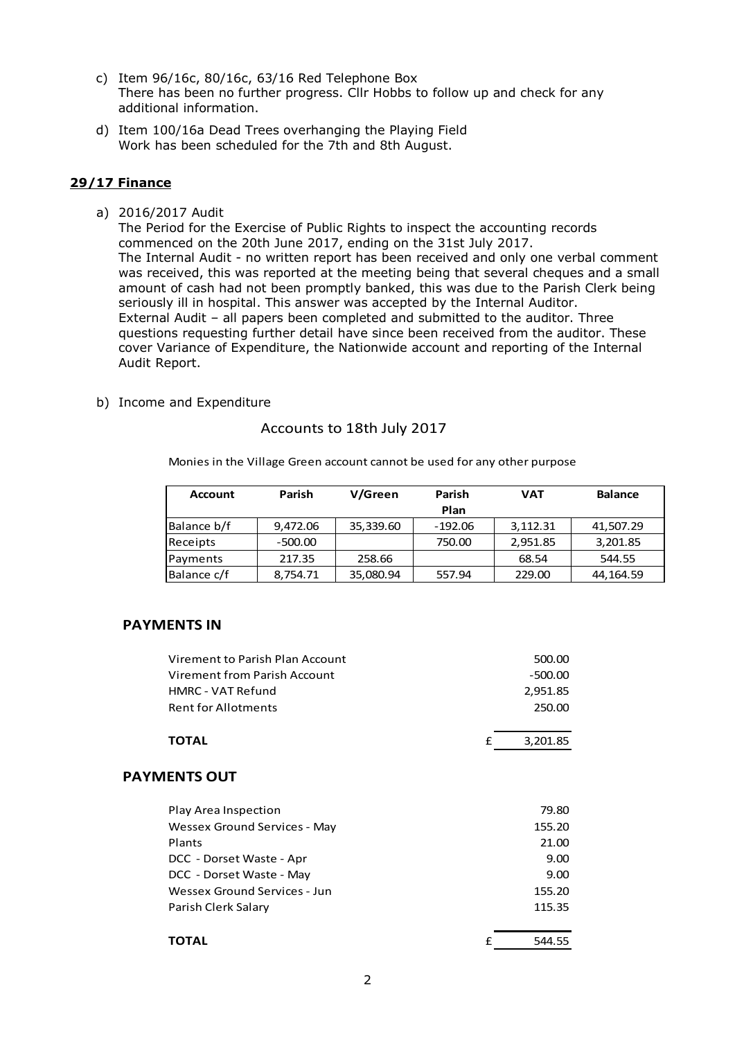- c) Item 96/16c, 80/16c, 63/16 Red Telephone Box There has been no further progress. Cllr Hobbs to follow up and check for any additional information.
- d) Item 100/16a Dead Trees overhanging the Playing Field Work has been scheduled for the 7th and 8th August.

### **29/17 Finance**

a) 2016/2017 Audit

The Period for the Exercise of Public Rights to inspect the accounting records commenced on the 20th June 2017, ending on the 31st July 2017. The Internal Audit - no written report has been received and only one verbal comment was received, this was reported at the meeting being that several cheques and a small amount of cash had not been promptly banked, this was due to the Parish Clerk being seriously ill in hospital. This answer was accepted by the Internal Auditor. External Audit – all papers been completed and submitted to the auditor. Three questions requesting further detail have since been received from the auditor. These cover Variance of Expenditure, the Nationwide account and reporting of the Internal Audit Report.

b) Income and Expenditure

#### Accounts to 18th July 2017

Monies in the Village Green account cannot be used for any other purpose

| <b>Account</b> | Parish    | V/Green<br>Parish |           | <b>VAT</b> | <b>Balance</b> |
|----------------|-----------|-------------------|-----------|------------|----------------|
|                |           |                   | Plan      |            |                |
| Balance b/f    | 9,472.06  | 35,339.60         | $-192.06$ | 3,112.31   | 41,507.29      |
| Receipts       | $-500.00$ |                   | 750.00    | 2,951.85   | 3,201.85       |
| Payments       | 217.35    | 258.66            |           | 68.54      | 544.55         |
| Balance c/f    | 8,754.71  | 35,080.94         | 557.94    | 229.00     | 44,164.59      |

## **PAYMENTS IN**

| Virement to Parish Plan Account | 500.00        |
|---------------------------------|---------------|
| Virement from Parish Account    | $-500.00$     |
| HMRC - VAT Refund               | 2,951.85      |
| <b>Rent for Allotments</b>      | 250.00        |
| <b>TOTAL</b>                    | 3,201.85<br>f |
| <b>PAYMENTS OUT</b>             |               |
| Play Area Inspection            | 79.80         |
| Wessex Ground Services - May    | 155.20        |
| Plants                          | 21.00         |
| DCC - Dorset Waste - Apr        | 9.00          |
| DCC - Dorset Waste - May        | 9.00          |
| Wessex Ground Services - Jun    | 155.20        |
| Parish Clerk Salary             | 115.35        |
| ΤΟΤΑL                           | 544.55<br>£   |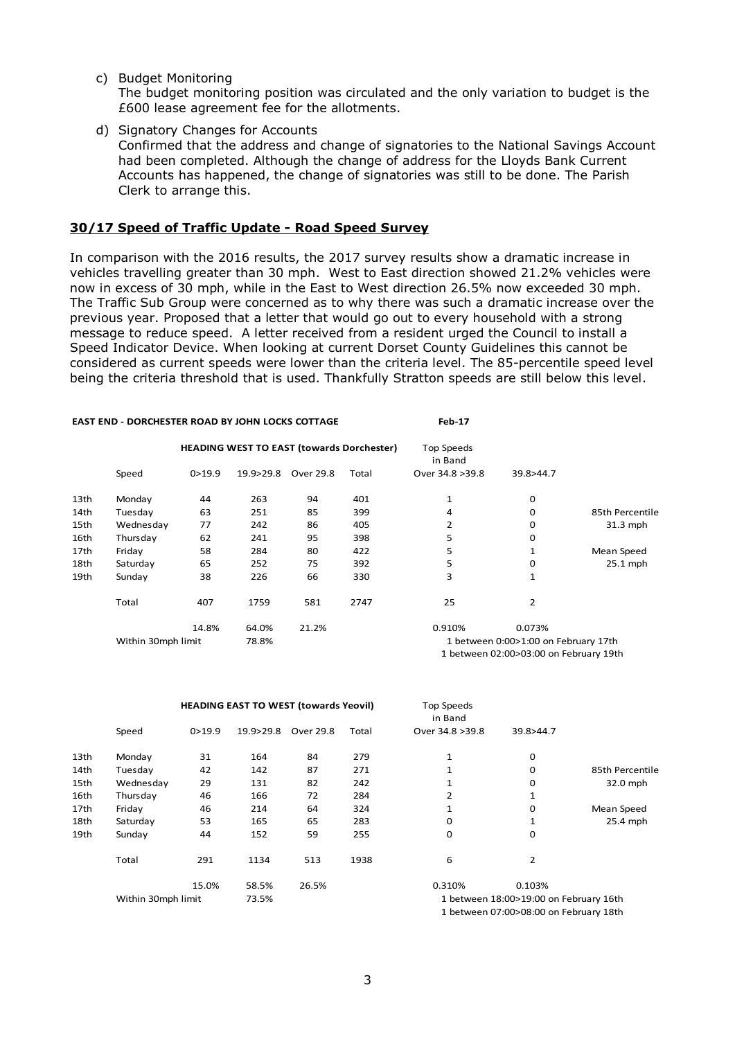c) Budget Monitoring

The budget monitoring position was circulated and the only variation to budget is the £600 lease agreement fee for the allotments.

d) Signatory Changes for Accounts

Confirmed that the address and change of signatories to the National Savings Account had been completed. Although the change of address for the Lloyds Bank Current Accounts has happened, the change of signatories was still to be done. The Parish Clerk to arrange this.

#### **30/17 Speed of Traffic Update - Road Speed Survey**

In comparison with the 2016 results, the 2017 survey results show a dramatic increase in vehicles travelling greater than 30 mph. West to East direction showed 21.2% vehicles were now in excess of 30 mph, while in the East to West direction 26.5% now exceeded 30 mph. The Traffic Sub Group were concerned as to why there was such a dramatic increase over the previous year. Proposed that a letter that would go out to every household with a strong message to reduce speed. A letter received from a resident urged the Council to install a Speed Indicator Device. When looking at current Dorset County Guidelines this cannot be considered as current speeds were lower than the criteria level. The 85-percentile speed level being the criteria threshold that is used. Thankfully Stratton speeds are still below this level.

|      | <b>EAST END - DORCHESTER ROAD BY JOHN LOCKS COTTAGE</b> |                                                  |           | <b>Feb-17</b> |       |                                        |           |                 |  |
|------|---------------------------------------------------------|--------------------------------------------------|-----------|---------------|-------|----------------------------------------|-----------|-----------------|--|
|      |                                                         | <b>HEADING WEST TO EAST (towards Dorchester)</b> |           |               |       | Top Speeds<br>in Band                  |           |                 |  |
|      | Speed                                                   | 0 > 19.9                                         | 19.9>29.8 | Over 29.8     | Total | Over 34.8 > 39.8                       | 39.8>44.7 |                 |  |
| 13th | Monday                                                  | 44                                               | 263       | 94            | 401   | 1                                      | 0         |                 |  |
| 14th | Tuesday                                                 | 63                                               | 251       | 85            | 399   | 4                                      | 0         | 85th Percentile |  |
| 15th | Wednesday                                               | 77                                               | 242       | 86            | 405   | 2                                      | 0         | $31.3$ mph      |  |
| 16th | Thursday                                                | 62                                               | 241       | 95            | 398   | 5                                      | 0         |                 |  |
| 17th | Friday                                                  | 58                                               | 284       | 80            | 422   | 5                                      | 1         | Mean Speed      |  |
| 18th | Saturday                                                | 65                                               | 252       | 75            | 392   | 5                                      | 0         | $25.1$ mph      |  |
| 19th | Sunday                                                  | 38                                               | 226       | 66            | 330   | 3                                      | 1         |                 |  |
|      | Total                                                   | 407                                              | 1759      | 581           | 2747  | 25                                     | 2         |                 |  |
|      |                                                         | 14.8%                                            | 64.0%     | 21.2%         |       | 0.910%                                 | 0.073%    |                 |  |
|      | Within 30mph limit                                      |                                                  | 78.8%     |               |       | 1 between 0:00>1:00 on February 17th   |           |                 |  |
|      |                                                         |                                                  |           |               |       | 1 between 02:00>03:00 on February 19th |           |                 |  |

|      |                    | <b>HEADING EAST TO WEST (towards Yeovil)</b> |           |           |       | Top Speeds<br>in Band |                                        |                 |
|------|--------------------|----------------------------------------------|-----------|-----------|-------|-----------------------|----------------------------------------|-----------------|
|      | Speed              | 0 > 19.9                                     | 19.9>29.8 | Over 29.8 | Total | Over 34.8 > 39.8      | 39.8>44.7                              |                 |
| 13th | Monday             | 31                                           | 164       | 84        | 279   | 1                     | 0                                      |                 |
| 14th | Tuesday            | 42                                           | 142       | 87        | 271   | 1                     | $\mathbf 0$                            | 85th Percentile |
| 15th | Wednesday          | 29                                           | 131       | 82        | 242   | 1                     | 0                                      | 32.0 mph        |
| 16th | Thursday           | 46                                           | 166       | 72        | 284   | 2                     | 1                                      |                 |
| 17th | Friday             | 46                                           | 214       | 64        | 324   | 1                     | $\mathbf 0$                            | Mean Speed      |
| 18th | Saturday           | 53                                           | 165       | 65        | 283   | 0                     | 1                                      | 25.4 mph        |
| 19th | Sunday             | 44                                           | 152       | 59        | 255   | 0                     | 0                                      |                 |
|      | Total              | 291                                          | 1134      | 513       | 1938  | 6                     | $\overline{2}$                         |                 |
|      |                    | 15.0%                                        | 58.5%     | 26.5%     |       | 0.310%                | 0.103%                                 |                 |
|      | Within 30mph limit |                                              | 73.5%     |           |       |                       | 1 between 18:00>19:00 on February 16th |                 |
|      |                    |                                              |           |           |       |                       |                                        |                 |

1 between 07:00>08:00 on February 18th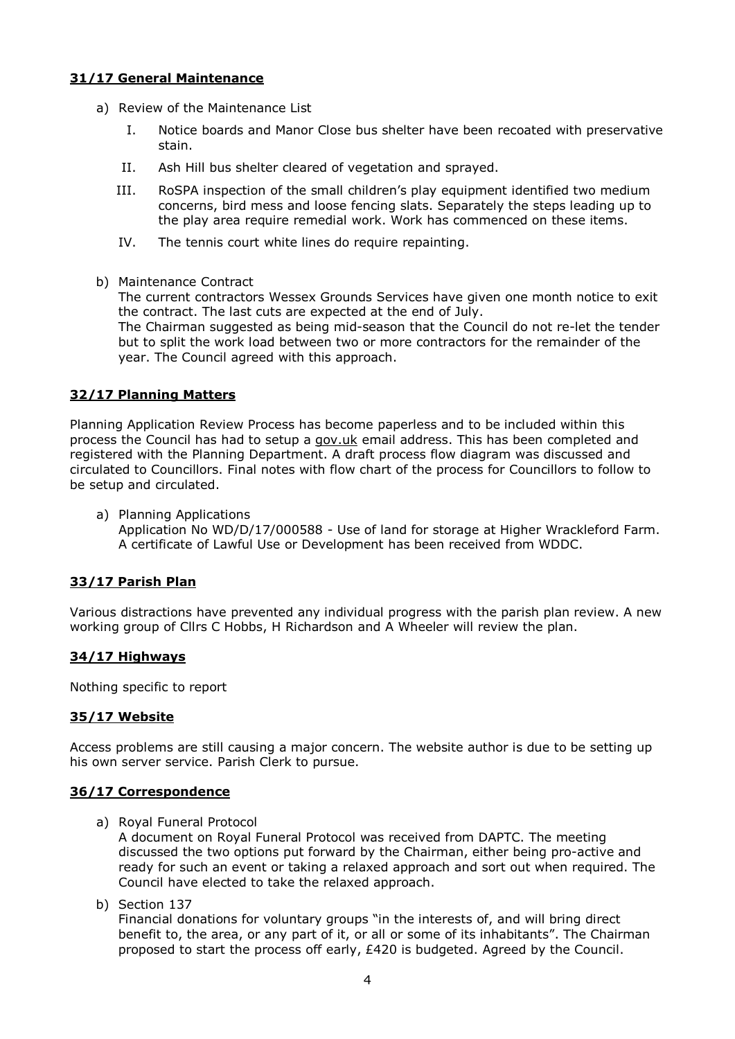## **31/17 General Maintenance**

- a) Review of the Maintenance List
	- I. Notice boards and Manor Close bus shelter have been recoated with preservative stain.
	- II. Ash Hill bus shelter cleared of vegetation and sprayed.
	- III. RoSPA inspection of the small children's play equipment identified two medium concerns, bird mess and loose fencing slats. Separately the steps leading up to the play area require remedial work. Work has commenced on these items.
	- IV. The tennis court white lines do require repainting.
- b) Maintenance Contract

The current contractors Wessex Grounds Services have given one month notice to exit the contract. The last cuts are expected at the end of July.

The Chairman suggested as being mid-season that the Council do not re-let the tender but to split the work load between two or more contractors for the remainder of the year. The Council agreed with this approach.

## **32/17 Planning Matters**

Planning Application Review Process has become paperless and to be included within this process the Council has had to setup a [gov.uk](http://gov.uk/) email address. This has been completed and registered with the Planning Department. A draft process flow diagram was discussed and circulated to Councillors. Final notes with flow chart of the process for Councillors to follow to be setup and circulated.

a) Planning Applications

Application No WD/D/17/000588 - Use of land for storage at Higher Wrackleford Farm. A certificate of Lawful Use or Development has been received from WDDC.

## **33/17 Parish Plan**

Various distractions have prevented any individual progress with the parish plan review. A new working group of Cllrs C Hobbs, H Richardson and A Wheeler will review the plan.

## **34/17 Highways**

Nothing specific to report

## **35/17 Website**

Access problems are still causing a major concern. The website author is due to be setting up his own server service. Parish Clerk to pursue.

#### **36/17 Correspondence**

a) Royal Funeral Protocol

A document on Royal Funeral Protocol was received from DAPTC. The meeting discussed the two options put forward by the Chairman, either being pro-active and ready for such an event or taking a relaxed approach and sort out when required. The Council have elected to take the relaxed approach.

b) Section 137

Financial donations for voluntary groups "in the interests of, and will bring direct benefit to, the area, or any part of it, or all or some of its inhabitants". The Chairman proposed to start the process off early, £420 is budgeted. Agreed by the Council.